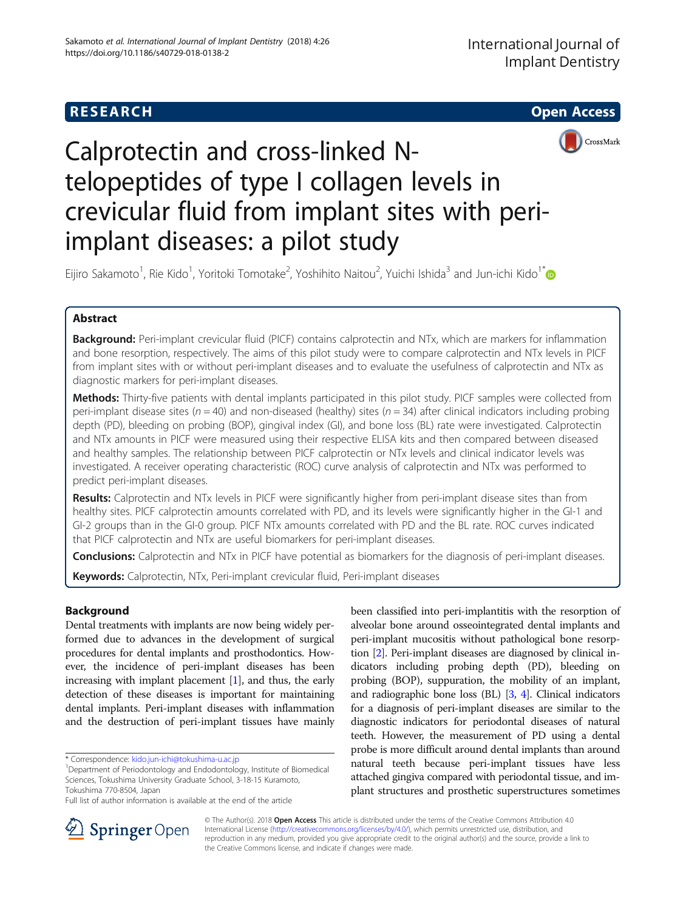## **RESEARCH CHE Open Access**





# Calprotectin and cross-linked Ntelopeptides of type I collagen levels in crevicular fluid from implant sites with periimplant diseases: a pilot study

Eijiro Sakamoto<sup>1</sup>, Rie Kido<sup>1</sup>, Yoritoki Tomotake<sup>2</sup>, Yoshihito Naitou<sup>2</sup>, Yuichi Ishida<sup>3</sup> and Jun-ichi Kido<sup>1\*</sup>

## Abstract

Background: Peri-implant crevicular fluid (PICF) contains calprotectin and NTx, which are markers for inflammation and bone resorption, respectively. The aims of this pilot study were to compare calprotectin and NTx levels in PICF from implant sites with or without peri-implant diseases and to evaluate the usefulness of calprotectin and NTx as diagnostic markers for peri-implant diseases.

Methods: Thirty-five patients with dental implants participated in this pilot study. PICF samples were collected from peri-implant disease sites ( $n = 40$ ) and non-diseased (healthy) sites ( $n = 34$ ) after clinical indicators including probing depth (PD), bleeding on probing (BOP), gingival index (GI), and bone loss (BL) rate were investigated. Calprotectin and NTx amounts in PICF were measured using their respective ELISA kits and then compared between diseased and healthy samples. The relationship between PICF calprotectin or NTx levels and clinical indicator levels was investigated. A receiver operating characteristic (ROC) curve analysis of calprotectin and NTx was performed to predict peri-implant diseases.

Results: Calprotectin and NTx levels in PICF were significantly higher from peri-implant disease sites than from healthy sites. PICF calprotectin amounts correlated with PD, and its levels were significantly higher in the GI-1 and GI-2 groups than in the GI-0 group. PICF NTx amounts correlated with PD and the BL rate. ROC curves indicated that PICF calprotectin and NTx are useful biomarkers for peri-implant diseases.

**Conclusions:** Calprotectin and NTx in PICF have potential as biomarkers for the diagnosis of peri-implant diseases.

Keywords: Calprotectin, NTx, Peri-implant crevicular fluid, Peri-implant diseases

## Background

Dental treatments with implants are now being widely performed due to advances in the development of surgical procedures for dental implants and prosthodontics. However, the incidence of peri-implant diseases has been increasing with implant placement [\[1\]](#page-6-0), and thus, the early detection of these diseases is important for maintaining dental implants. Peri-implant diseases with inflammation and the destruction of peri-implant tissues have mainly

been classified into peri-implantitis with the resorption of alveolar bone around osseointegrated dental implants and peri-implant mucositis without pathological bone resorption [[2](#page-6-0)]. Peri-implant diseases are diagnosed by clinical indicators including probing depth (PD), bleeding on probing (BOP), suppuration, the mobility of an implant, and radiographic bone loss (BL) [[3,](#page-6-0) [4](#page-6-0)]. Clinical indicators for a diagnosis of peri-implant diseases are similar to the diagnostic indicators for periodontal diseases of natural teeth. However, the measurement of PD using a dental probe is more difficult around dental implants than around natural teeth because peri-implant tissues have less attached gingiva compared with periodontal tissue, and implant structures and prosthetic superstructures sometimes



© The Author(s). 2018 Open Access This article is distributed under the terms of the Creative Commons Attribution 4.0 International License ([http://creativecommons.org/licenses/by/4.0/\)](http://creativecommons.org/licenses/by/4.0/), which permits unrestricted use, distribution, and reproduction in any medium, provided you give appropriate credit to the original author(s) and the source, provide a link to the Creative Commons license, and indicate if changes were made.

<sup>\*</sup> Correspondence: [kido.jun-ichi@tokushima-u.ac.jp](mailto:kido.jun-ichi@tokushima-u.ac.jp) <sup>1</sup>

<sup>&</sup>lt;sup>1</sup>Department of Periodontology and Endodontology, Institute of Biomedical Sciences, Tokushima University Graduate School, 3-18-15 Kuramoto, Tokushima 770-8504, Japan

Full list of author information is available at the end of the article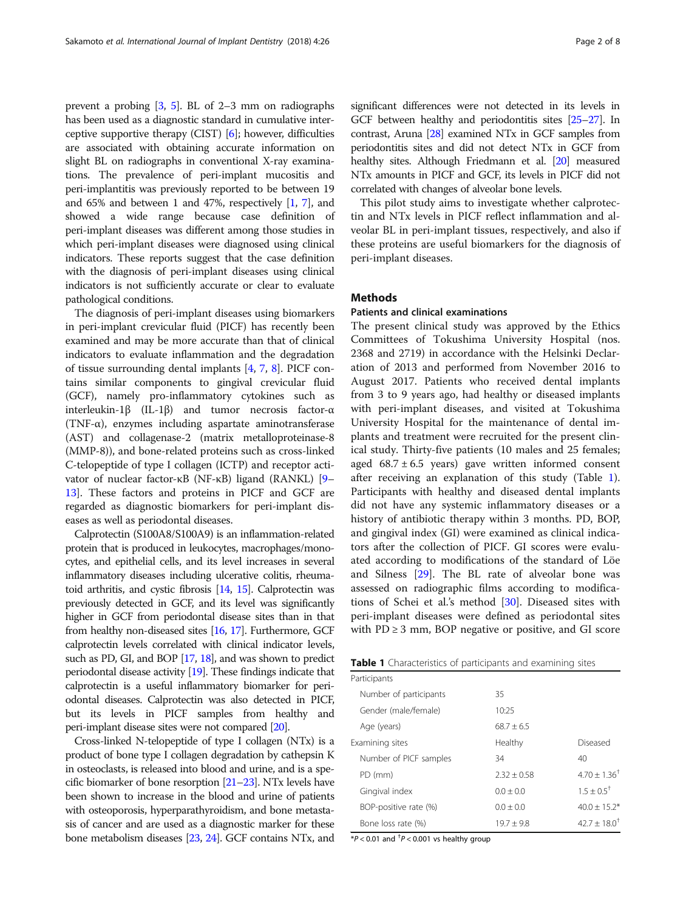<span id="page-1-0"></span>prevent a probing [\[3](#page-6-0), [5](#page-6-0)]. BL of 2–3 mm on radiographs has been used as a diagnostic standard in cumulative interceptive supportive therapy (CIST) [[6\]](#page-6-0); however, difficulties are associated with obtaining accurate information on slight BL on radiographs in conventional X-ray examinations. The prevalence of peri-implant mucositis and peri-implantitis was previously reported to be between 19 and 65% and between 1 and 47%, respectively [[1](#page-6-0), [7\]](#page-6-0), and showed a wide range because case definition of peri-implant diseases was different among those studies in which peri-implant diseases were diagnosed using clinical indicators. These reports suggest that the case definition with the diagnosis of peri-implant diseases using clinical indicators is not sufficiently accurate or clear to evaluate pathological conditions.

The diagnosis of peri-implant diseases using biomarkers in peri-implant crevicular fluid (PICF) has recently been examined and may be more accurate than that of clinical indicators to evaluate inflammation and the degradation of tissue surrounding dental implants [\[4](#page-6-0), [7](#page-6-0), [8\]](#page-6-0). PICF contains similar components to gingival crevicular fluid (GCF), namely pro-inflammatory cytokines such as interleukin-1β (IL-1β) and tumor necrosis factor-α (TNF- $\alpha$ ), enzymes including aspartate aminotransferase (AST) and collagenase-2 (matrix metalloproteinase-8 (MMP-8)), and bone-related proteins such as cross-linked C-telopeptide of type I collagen (ICTP) and receptor acti-vator of nuclear factor-κB (NF-κB) ligand (RANKL) [[9](#page-6-0)– [13](#page-7-0)]. These factors and proteins in PICF and GCF are regarded as diagnostic biomarkers for peri-implant diseases as well as periodontal diseases.

Calprotectin (S100A8/S100A9) is an inflammation-related protein that is produced in leukocytes, macrophages/monocytes, and epithelial cells, and its level increases in several inflammatory diseases including ulcerative colitis, rheumatoid arthritis, and cystic fibrosis [\[14,](#page-7-0) [15\]](#page-7-0). Calprotectin was previously detected in GCF, and its level was significantly higher in GCF from periodontal disease sites than in that from healthy non-diseased sites [\[16](#page-7-0), [17](#page-7-0)]. Furthermore, GCF calprotectin levels correlated with clinical indicator levels, such as PD, GI, and BOP [\[17](#page-7-0), [18](#page-7-0)], and was shown to predict periodontal disease activity [\[19\]](#page-7-0). These findings indicate that calprotectin is a useful inflammatory biomarker for periodontal diseases. Calprotectin was also detected in PICF, but its levels in PICF samples from healthy and peri-implant disease sites were not compared [\[20\]](#page-7-0).

Cross-linked N-telopeptide of type I collagen (NTx) is a product of bone type I collagen degradation by cathepsin K in osteoclasts, is released into blood and urine, and is a specific biomarker of bone resorption [\[21](#page-7-0)–[23\]](#page-7-0). NTx levels have been shown to increase in the blood and urine of patients with osteoporosis, hyperparathyroidism, and bone metastasis of cancer and are used as a diagnostic marker for these bone metabolism diseases [\[23,](#page-7-0) [24\]](#page-7-0). GCF contains NTx, and

significant differences were not detected in its levels in GCF between healthy and periodontitis sites [[25](#page-7-0)–[27](#page-7-0)]. In contrast, Aruna [\[28\]](#page-7-0) examined NTx in GCF samples from periodontitis sites and did not detect NTx in GCF from healthy sites. Although Friedmann et al. [[20](#page-7-0)] measured NTx amounts in PICF and GCF, its levels in PICF did not correlated with changes of alveolar bone levels.

This pilot study aims to investigate whether calprotectin and NTx levels in PICF reflect inflammation and alveolar BL in peri-implant tissues, respectively, and also if these proteins are useful biomarkers for the diagnosis of peri-implant diseases.

## **Methods**

## Patients and clinical examinations

The present clinical study was approved by the Ethics Committees of Tokushima University Hospital (nos. 2368 and 2719) in accordance with the Helsinki Declaration of 2013 and performed from November 2016 to August 2017. Patients who received dental implants from 3 to 9 years ago, had healthy or diseased implants with peri-implant diseases, and visited at Tokushima University Hospital for the maintenance of dental implants and treatment were recruited for the present clinical study. Thirty-five patients (10 males and 25 females; aged  $68.7 \pm 6.5$  years) gave written informed consent after receiving an explanation of this study (Table 1). Participants with healthy and diseased dental implants did not have any systemic inflammatory diseases or a history of antibiotic therapy within 3 months. PD, BOP, and gingival index (GI) were examined as clinical indicators after the collection of PICF. GI scores were evaluated according to modifications of the standard of Löe and Silness [[29](#page-7-0)]. The BL rate of alveolar bone was assessed on radiographic films according to modifications of Schei et al.'s method [\[30](#page-7-0)]. Diseased sites with peri-implant diseases were defined as periodontal sites with  $PD \geq 3$  mm, BOP negative or positive, and GI score

|  |  | Table 1 Characteristics of participants and examining sites |
|--|--|-------------------------------------------------------------|
|  |  |                                                             |

| Participants           |               |                         |
|------------------------|---------------|-------------------------|
| Number of participants | 35            |                         |
| Gender (male/female)   | 10:25         |                         |
| Age (years)            | $68.7 + 6.5$  |                         |
| Examining sites        | Healthy       | Diseased                |
| Number of PICF samples | 34            | 40                      |
| PD (mm)                | $2.32 + 0.58$ | $4.70 + 1.36^{\dagger}$ |
| Gingival index         | $0.0 + 0.0$   | $1.5 + 0.5^{\dagger}$   |
| BOP-positive rate (%)  | $0.0 + 0.0$   | $40.0 + 15.2*$          |
| Bone loss rate (%)     | $19.7 + 9.8$  | $42.7 + 18.0^{\dagger}$ |

 $*P < 0.01$  and  $^{\dagger}P < 0.001$  vs healthy group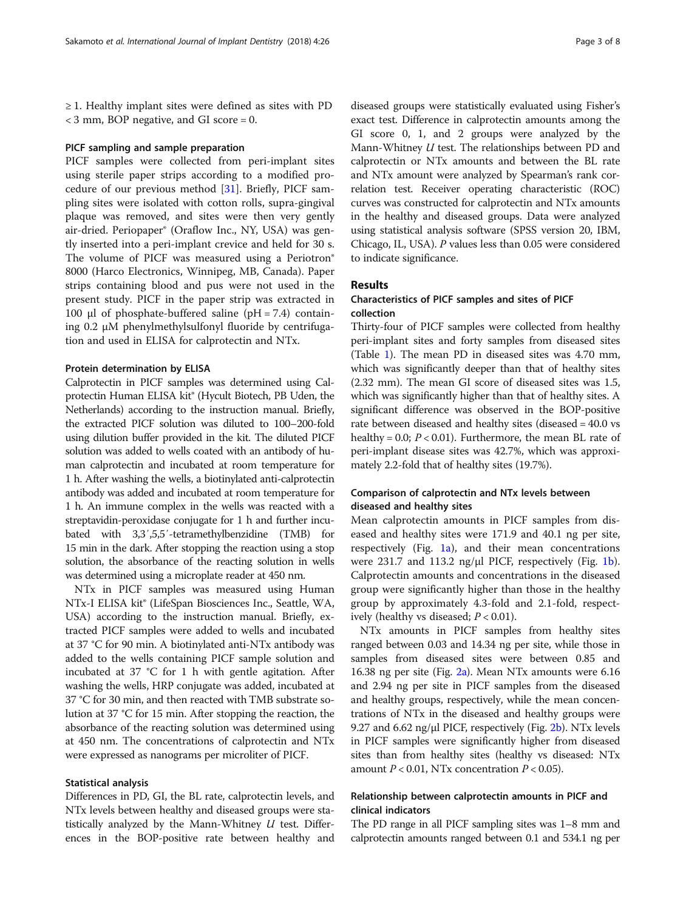≥ 1. Healthy implant sites were defined as sites with PD < 3 mm, BOP negative, and GI score = 0.

#### PICF sampling and sample preparation

PICF samples were collected from peri-implant sites using sterile paper strips according to a modified procedure of our previous method [[31\]](#page-7-0). Briefly, PICF sampling sites were isolated with cotton rolls, supra-gingival plaque was removed, and sites were then very gently air-dried. Periopaper® (Oraflow Inc., NY, USA) was gently inserted into a peri-implant crevice and held for 30 s. The volume of PICF was measured using a Periotron® 8000 (Harco Electronics, Winnipeg, MB, Canada). Paper strips containing blood and pus were not used in the present study. PICF in the paper strip was extracted in 100 μl of phosphate-buffered saline (pH = 7.4) containing 0.2 μM phenylmethylsulfonyl fluoride by centrifugation and used in ELISA for calprotectin and NTx.

## Protein determination by ELISA

Calprotectin in PICF samples was determined using Calprotectin Human ELISA kit® (Hycult Biotech, PB Uden, the Netherlands) according to the instruction manual. Briefly, the extracted PICF solution was diluted to 100–200-fold using dilution buffer provided in the kit. The diluted PICF solution was added to wells coated with an antibody of human calprotectin and incubated at room temperature for 1 h. After washing the wells, a biotinylated anti-calprotectin antibody was added and incubated at room temperature for 1 h. An immune complex in the wells was reacted with a streptavidin-peroxidase conjugate for 1 h and further incubated with 3,3′,5,5′-tetramethylbenzidine (TMB) for 15 min in the dark. After stopping the reaction using a stop solution, the absorbance of the reacting solution in wells was determined using a microplate reader at 450 nm.

NTx in PICF samples was measured using Human NTx-I ELISA kit® (LifeSpan Biosciences Inc., Seattle, WA, USA) according to the instruction manual. Briefly, extracted PICF samples were added to wells and incubated at 37 °C for 90 min. A biotinylated anti-NTx antibody was added to the wells containing PICF sample solution and incubated at 37 °C for 1 h with gentle agitation. After washing the wells, HRP conjugate was added, incubated at 37 °C for 30 min, and then reacted with TMB substrate solution at 37 °C for 15 min. After stopping the reaction, the absorbance of the reacting solution was determined using at 450 nm. The concentrations of calprotectin and NTx were expressed as nanograms per microliter of PICF.

## Statistical analysis

Differences in PD, GI, the BL rate, calprotectin levels, and NTx levels between healthy and diseased groups were statistically analyzed by the Mann-Whitney  $U$  test. Differences in the BOP-positive rate between healthy and

diseased groups were statistically evaluated using Fisher's exact test. Difference in calprotectin amounts among the GI score 0, 1, and 2 groups were analyzed by the Mann-Whitney U test. The relationships between PD and calprotectin or NTx amounts and between the BL rate and NTx amount were analyzed by Spearman's rank correlation test. Receiver operating characteristic (ROC) curves was constructed for calprotectin and NTx amounts in the healthy and diseased groups. Data were analyzed using statistical analysis software (SPSS version 20, IBM, Chicago, IL, USA). P values less than 0.05 were considered to indicate significance.

## Results

## Characteristics of PICF samples and sites of PICF collection

Thirty-four of PICF samples were collected from healthy peri-implant sites and forty samples from diseased sites (Table [1](#page-1-0)). The mean PD in diseased sites was 4.70 mm, which was significantly deeper than that of healthy sites (2.32 mm). The mean GI score of diseased sites was 1.5, which was significantly higher than that of healthy sites. A significant difference was observed in the BOP-positive rate between diseased and healthy sites (diseased = 40.0 vs healthy = 0.0;  $P < 0.01$ ). Furthermore, the mean BL rate of peri-implant disease sites was 42.7%, which was approximately 2.2-fold that of healthy sites (19.7%).

## Comparison of calprotectin and NTx levels between diseased and healthy sites

Mean calprotectin amounts in PICF samples from diseased and healthy sites were 171.9 and 40.1 ng per site, respectively (Fig. [1a\)](#page-3-0), and their mean concentrations were  $231.7$  and  $113.2$  ng/ $\mu$ l PICF, respectively (Fig. [1b](#page-3-0)). Calprotectin amounts and concentrations in the diseased group were significantly higher than those in the healthy group by approximately 4.3-fold and 2.1-fold, respectively (healthy vs diseased;  $P < 0.01$ ).

NTx amounts in PICF samples from healthy sites ranged between 0.03 and 14.34 ng per site, while those in samples from diseased sites were between 0.85 and 16.38 ng per site (Fig. [2a](#page-3-0)). Mean NTx amounts were 6.16 and 2.94 ng per site in PICF samples from the diseased and healthy groups, respectively, while the mean concentrations of NTx in the diseased and healthy groups were 9.27 and 6.62 ng/ $\mu$ l PICF, respectively (Fig. [2b\)](#page-3-0). NTx levels in PICF samples were significantly higher from diseased sites than from healthy sites (healthy vs diseased: NTx amount  $P < 0.01$ , NTx concentration  $P < 0.05$ ).

## Relationship between calprotectin amounts in PICF and clinical indicators

The PD range in all PICF sampling sites was 1–8 mm and calprotectin amounts ranged between 0.1 and 534.1 ng per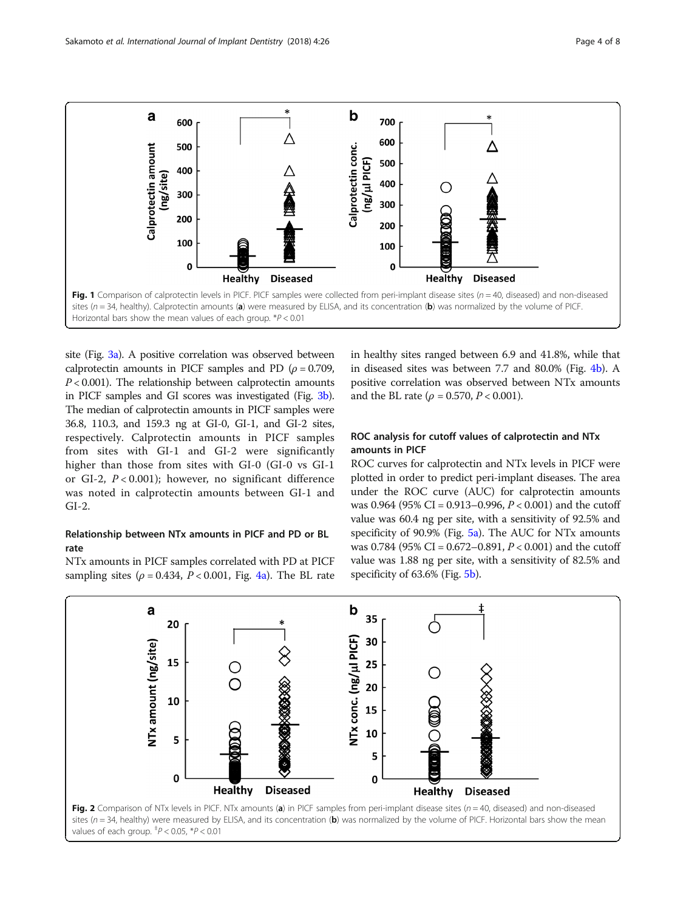<span id="page-3-0"></span>

site (Fig. [3a\)](#page-4-0). A positive correlation was observed between calprotectin amounts in PICF samples and PD ( $\rho = 0.709$ ,  $P < 0.001$ ). The relationship between calprotectin amounts in PICF samples and GI scores was investigated (Fig. [3b](#page-4-0)). The median of calprotectin amounts in PICF samples were 36.8, 110.3, and 159.3 ng at GI-0, GI-1, and GI-2 sites, respectively. Calprotectin amounts in PICF samples from sites with GI-1 and GI-2 were significantly higher than those from sites with GI-0 (GI-0 vs GI-1 or GI-2,  $P < 0.001$ ); however, no significant difference was noted in calprotectin amounts between GI-1 and GI-2.

## Relationship between NTx amounts in PICF and PD or BL rate

NTx amounts in PICF samples correlated with PD at PICF sampling sites ( $\rho = 0.434$ ,  $P < 0.001$ , Fig. [4a](#page-4-0)). The BL rate

in healthy sites ranged between 6.9 and 41.8%, while that in diseased sites was between 7.7 and 80.0% (Fig. [4b\)](#page-4-0). A positive correlation was observed between NTx amounts and the BL rate ( $\rho = 0.570$ ,  $P < 0.001$ ).

## ROC analysis for cutoff values of calprotectin and NTx amounts in PICF

ROC curves for calprotectin and NTx levels in PICF were plotted in order to predict peri-implant diseases. The area under the ROC curve (AUC) for calprotectin amounts was 0.964 (95% CI = 0.913–0.996,  $P < 0.001$ ) and the cutoff value was 60.4 ng per site, with a sensitivity of 92.5% and specificity of 90.9% (Fig. [5a](#page-5-0)). The AUC for NTx amounts was 0.784 (95% CI = 0.672-0.891,  $P < 0.001$ ) and the cutoff value was 1.88 ng per site, with a sensitivity of 82.5% and specificity of 63.6% (Fig. [5b\)](#page-5-0).



values of each group.  $^{4}P < 0.05$ ,  $^{*}P < 0.01$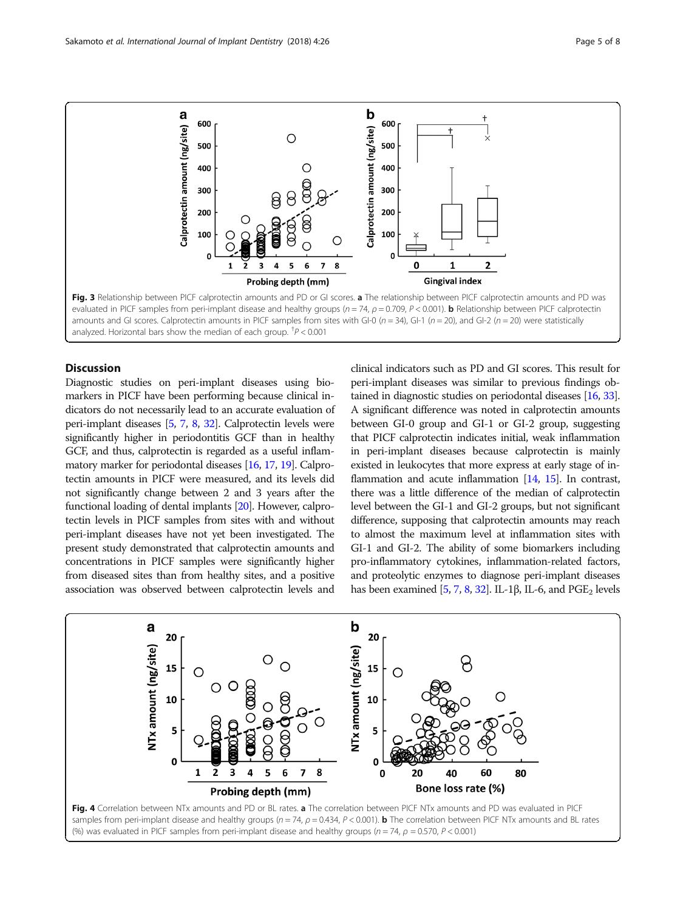<span id="page-4-0"></span>

## **Discussion**

Diagnostic studies on peri-implant diseases using biomarkers in PICF have been performing because clinical indicators do not necessarily lead to an accurate evaluation of peri-implant diseases [\[5](#page-6-0), [7](#page-6-0), [8](#page-6-0), [32](#page-7-0)]. Calprotectin levels were significantly higher in periodontitis GCF than in healthy GCF, and thus, calprotectin is regarded as a useful inflammatory marker for periodontal diseases [\[16,](#page-7-0) [17,](#page-7-0) [19\]](#page-7-0). Calprotectin amounts in PICF were measured, and its levels did not significantly change between 2 and 3 years after the functional loading of dental implants [\[20\]](#page-7-0). However, calprotectin levels in PICF samples from sites with and without peri-implant diseases have not yet been investigated. The present study demonstrated that calprotectin amounts and concentrations in PICF samples were significantly higher from diseased sites than from healthy sites, and a positive association was observed between calprotectin levels and

clinical indicators such as PD and GI scores. This result for peri-implant diseases was similar to previous findings obtained in diagnostic studies on periodontal diseases [\[16](#page-7-0), [33](#page-7-0)]. A significant difference was noted in calprotectin amounts between GI-0 group and GI-1 or GI-2 group, suggesting that PICF calprotectin indicates initial, weak inflammation in peri-implant diseases because calprotectin is mainly existed in leukocytes that more express at early stage of in-flammation and acute inflammation [[14](#page-7-0), [15\]](#page-7-0). In contrast, there was a little difference of the median of calprotectin level between the GI-1 and GI-2 groups, but not significant difference, supposing that calprotectin amounts may reach to almost the maximum level at inflammation sites with GI-1 and GI-2. The ability of some biomarkers including pro-inflammatory cytokines, inflammation-related factors, and proteolytic enzymes to diagnose peri-implant diseases has been examined [[5,](#page-6-0) [7,](#page-6-0) [8](#page-6-0), [32\]](#page-7-0). IL-1β, IL-6, and  $PGE<sub>2</sub>$  levels

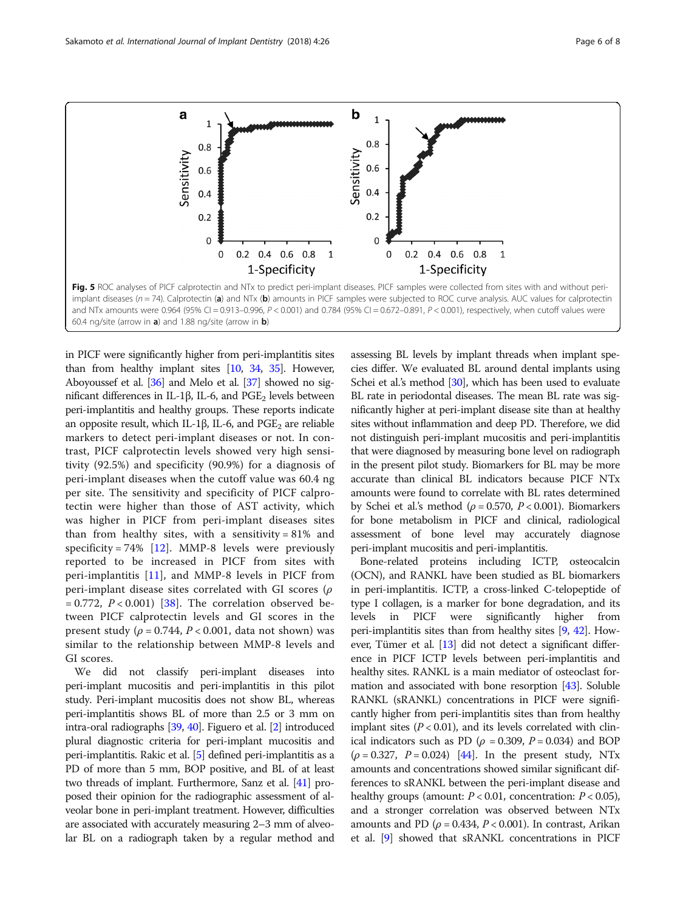<span id="page-5-0"></span>

in PICF were significantly higher from peri-implantitis sites than from healthy implant sites [[10](#page-7-0), [34](#page-7-0), [35](#page-7-0)]. However, Aboyoussef et al. [[36](#page-7-0)] and Melo et al. [\[37](#page-7-0)] showed no significant differences in IL-1β, IL-6, and  $PGE_2$  levels between peri-implantitis and healthy groups. These reports indicate an opposite result, which IL-1β, IL-6, and  $PGE_2$  are reliable markers to detect peri-implant diseases or not. In contrast, PICF calprotectin levels showed very high sensitivity (92.5%) and specificity (90.9%) for a diagnosis of peri-implant diseases when the cutoff value was 60.4 ng per site. The sensitivity and specificity of PICF calprotectin were higher than those of AST activity, which was higher in PICF from peri-implant diseases sites than from healthy sites, with a sensitivity =  $81\%$  and specificity = 74%  $[12]$  $[12]$ . MMP-8 levels were previously reported to be increased in PICF from sites with peri-implantitis [[11\]](#page-7-0), and MMP-8 levels in PICF from peri-implant disease sites correlated with GI scores (ρ  $= 0.772$ ,  $P < 0.001$  [[38\]](#page-7-0). The correlation observed between PICF calprotectin levels and GI scores in the present study ( $\rho = 0.744$ ,  $P < 0.001$ , data not shown) was similar to the relationship between MMP-8 levels and GI scores.

We did not classify peri-implant diseases into peri-implant mucositis and peri-implantitis in this pilot study. Peri-implant mucositis does not show BL, whereas peri-implantitis shows BL of more than 2.5 or 3 mm on intra-oral radiographs [\[39,](#page-7-0) [40](#page-7-0)]. Figuero et al. [\[2\]](#page-6-0) introduced plural diagnostic criteria for peri-implant mucositis and peri-implantitis. Rakic et al. [\[5](#page-6-0)] defined peri-implantitis as a PD of more than 5 mm, BOP positive, and BL of at least two threads of implant. Furthermore, Sanz et al. [\[41\]](#page-7-0) proposed their opinion for the radiographic assessment of alveolar bone in peri-implant treatment. However, difficulties are associated with accurately measuring 2–3 mm of alveolar BL on a radiograph taken by a regular method and assessing BL levels by implant threads when implant species differ. We evaluated BL around dental implants using Schei et al.'s method [\[30\]](#page-7-0), which has been used to evaluate BL rate in periodontal diseases. The mean BL rate was significantly higher at peri-implant disease site than at healthy sites without inflammation and deep PD. Therefore, we did not distinguish peri-implant mucositis and peri-implantitis that were diagnosed by measuring bone level on radiograph in the present pilot study. Biomarkers for BL may be more accurate than clinical BL indicators because PICF NTx amounts were found to correlate with BL rates determined by Schei et al.'s method ( $\rho = 0.570$ ,  $P < 0.001$ ). Biomarkers for bone metabolism in PICF and clinical, radiological assessment of bone level may accurately diagnose peri-implant mucositis and peri-implantitis.

Bone-related proteins including ICTP, osteocalcin (OCN), and RANKL have been studied as BL biomarkers in peri-implantitis. ICTP, a cross-linked C-telopeptide of type I collagen, is a marker for bone degradation, and its levels in PICF were significantly higher from peri-implantitis sites than from healthy sites [\[9,](#page-6-0) [42\]](#page-7-0). However, Tümer et al. [\[13\]](#page-7-0) did not detect a significant difference in PICF ICTP levels between peri-implantitis and healthy sites. RANKL is a main mediator of osteoclast formation and associated with bone resorption [\[43](#page-7-0)]. Soluble RANKL (sRANKL) concentrations in PICF were significantly higher from peri-implantitis sites than from healthy implant sites  $(P < 0.01)$ , and its levels correlated with clinical indicators such as PD ( $\rho = 0.309$ ,  $P = 0.034$ ) and BOP  $(\rho = 0.327, P = 0.024)$  [\[44\]](#page-7-0). In the present study, NTx amounts and concentrations showed similar significant differences to sRANKL between the peri-implant disease and healthy groups (amount:  $P < 0.01$ , concentration:  $P < 0.05$ ), and a stronger correlation was observed between NTx amounts and PD ( $\rho$  = 0.434, P < 0.001). In contrast, Arikan et al. [[9](#page-6-0)] showed that sRANKL concentrations in PICF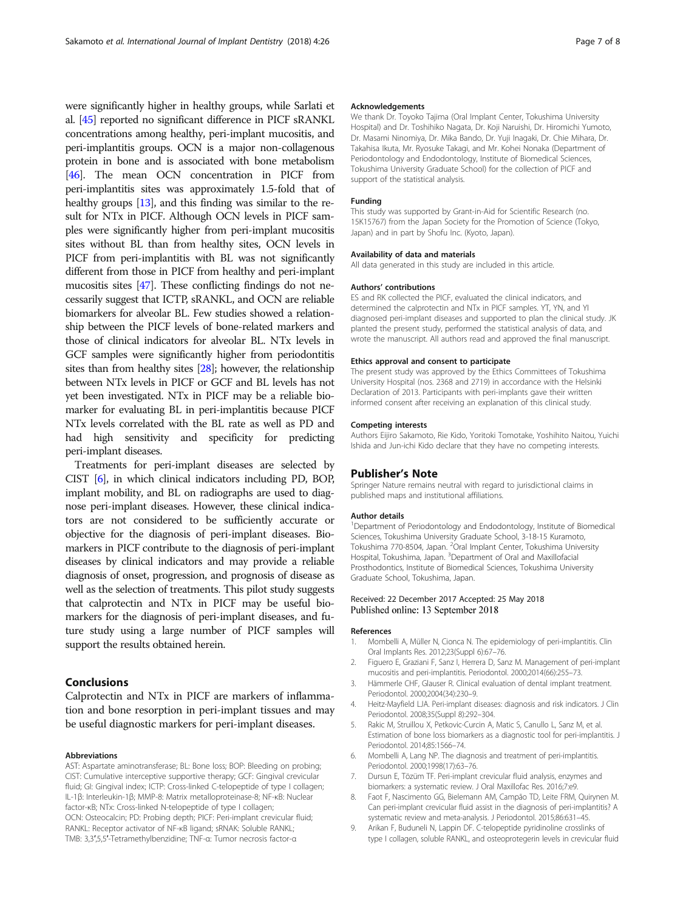<span id="page-6-0"></span>were significantly higher in healthy groups, while Sarlati et al. [\[45\]](#page-7-0) reported no significant difference in PICF sRANKL concentrations among healthy, peri-implant mucositis, and peri-implantitis groups. OCN is a major non-collagenous protein in bone and is associated with bone metabolism [[46](#page-7-0)]. The mean OCN concentration in PICF from peri-implantitis sites was approximately 1.5-fold that of healthy groups [\[13\]](#page-7-0), and this finding was similar to the result for NTx in PICF. Although OCN levels in PICF samples were significantly higher from peri-implant mucositis sites without BL than from healthy sites, OCN levels in PICF from peri-implantitis with BL was not significantly different from those in PICF from healthy and peri-implant mucositis sites [\[47\]](#page-7-0). These conflicting findings do not necessarily suggest that ICTP, sRANKL, and OCN are reliable biomarkers for alveolar BL. Few studies showed a relationship between the PICF levels of bone-related markers and those of clinical indicators for alveolar BL. NTx levels in GCF samples were significantly higher from periodontitis sites than from healthy sites [\[28](#page-7-0)]; however, the relationship between NTx levels in PICF or GCF and BL levels has not yet been investigated. NTx in PICF may be a reliable biomarker for evaluating BL in peri-implantitis because PICF NTx levels correlated with the BL rate as well as PD and had high sensitivity and specificity for predicting peri-implant diseases.

Treatments for peri-implant diseases are selected by CIST [6], in which clinical indicators including PD, BOP, implant mobility, and BL on radiographs are used to diagnose peri-implant diseases. However, these clinical indicators are not considered to be sufficiently accurate or objective for the diagnosis of peri-implant diseases. Biomarkers in PICF contribute to the diagnosis of peri-implant diseases by clinical indicators and may provide a reliable diagnosis of onset, progression, and prognosis of disease as well as the selection of treatments. This pilot study suggests that calprotectin and NTx in PICF may be useful biomarkers for the diagnosis of peri-implant diseases, and future study using a large number of PICF samples will support the results obtained herein.

## Conclusions

Calprotectin and NTx in PICF are markers of inflammation and bone resorption in peri-implant tissues and may be useful diagnostic markers for peri-implant diseases.

#### Abbreviations

AST: Aspartate aminotransferase; BL: Bone loss; BOP: Bleeding on probing; CIST: Cumulative interceptive supportive therapy; GCF: Gingival crevicular fluid; GI: Gingival index; ICTP: Cross-linked C-telopeptide of type I collagen; IL-1β: Interleukin-1β; MMP-8: Matrix metalloproteinase-8; NF-κB: Nuclear factor-κB; NTx: Cross-linked N-telopeptide of type I collagen; OCN: Osteocalcin; PD: Probing depth; PICF: Peri-implant crevicular fluid; RANKL: Receptor activator of NF-κB ligand; sRNAK: Soluble RANKL; TMB: 3,3′,5,5′-Tetramethylbenzidine; TNF-α: Tumor necrosis factor-α

#### Acknowledgements

We thank Dr. Toyoko Tajima (Oral Implant Center, Tokushima University Hospital) and Dr. Toshihiko Nagata, Dr. Koji Naruishi, Dr. Hiromichi Yumoto, Dr. Masami Ninomiya, Dr. Mika Bando, Dr. Yuji Inagaki, Dr. Chie Mihara, Dr. Takahisa Ikuta, Mr. Ryosuke Takagi, and Mr. Kohei Nonaka (Department of Periodontology and Endodontology, Institute of Biomedical Sciences, Tokushima University Graduate School) for the collection of PICF and support of the statistical analysis.

#### Funding

This study was supported by Grant-in-Aid for Scientific Research (no. 15K15767) from the Japan Society for the Promotion of Science (Tokyo, Japan) and in part by Shofu Inc. (Kyoto, Japan).

#### Availability of data and materials

All data generated in this study are included in this article.

#### Authors' contributions

ES and RK collected the PICF, evaluated the clinical indicators, and determined the calprotectin and NTx in PICF samples. YT, YN, and YI diagnosed peri-implant diseases and supported to plan the clinical study. JK planted the present study, performed the statistical analysis of data, and wrote the manuscript. All authors read and approved the final manuscript.

#### Ethics approval and consent to participate

The present study was approved by the Ethics Committees of Tokushima University Hospital (nos. 2368 and 2719) in accordance with the Helsinki Declaration of 2013. Participants with peri-implants gave their written informed consent after receiving an explanation of this clinical study.

### Competing interests

Authors Eijiro Sakamoto, Rie Kido, Yoritoki Tomotake, Yoshihito Naitou, Yuichi Ishida and Jun-ichi Kido declare that they have no competing interests.

#### Publisher's Note

Springer Nature remains neutral with regard to jurisdictional claims in published maps and institutional affiliations.

#### Author details

<sup>1</sup>Department of Periodontology and Endodontology, Institute of Biomedical Sciences, Tokushima University Graduate School, 3-18-15 Kuramoto, Tokushima 770-8504, Japan. <sup>2</sup>Oral Implant Center, Tokushima University Hospital, Tokushima, Japan. <sup>3</sup>Department of Oral and Maxillofacial Prosthodontics, Institute of Biomedical Sciences, Tokushima University Graduate School, Tokushima, Japan.

### Received: 22 December 2017 Accepted: 25 May 2018 Published online: 13 September 2018

#### References

- 1. Mombelli A, Müller N, Cionca N. The epidemiology of peri-implantitis. Clin Oral Implants Res. 2012;23(Suppl 6):67–76.
- 2. Figuero E, Graziani F, Sanz I, Herrera D, Sanz M. Management of peri-implant mucositis and peri-implantitis. Periodontol. 2000;2014(66):255–73.
- 3. Hämmerle CHF, Glauser R. Clinical evaluation of dental implant treatment. Periodontol. 2000;2004(34):230–9.
- 4. Heitz-Mayfield LJA. Peri-implant diseases: diagnosis and risk indicators. J Clin Periodontol. 2008;35(Suppl 8):292–304.
- 5. Rakic M, Struillou X, Petkovic-Curcin A, Matic S, Canullo L, Sanz M, et al. Estimation of bone loss biomarkers as a diagnostic tool for peri-implantitis. J Periodontol. 2014;85:1566–74.
- 6. Mombelli A, Lang NP. The diagnosis and treatment of peri-implantitis. Periodontol. 2000;1998(17):63–76.
- 7. Dursun E, Tözüm TF. Peri-implant crevicular fluid analysis, enzymes and biomarkers: a systematic review. J Oral Maxillofac Res. 2016;7:e9.
- 8. Faot F, Nascimento GG, Bielemann AM, Campão TD, Leite FRM, Quirynen M. Can peri-implant crevicular fluid assist in the diagnosis of peri-implantitis? A systematic review and meta-analysis. J Periodontol. 2015;86:631–45.
- 9. Arikan F, Buduneli N, Lappin DF. C-telopeptide pyridinoline crosslinks of type I collagen, soluble RANKL, and osteoprotegerin levels in crevicular fluid